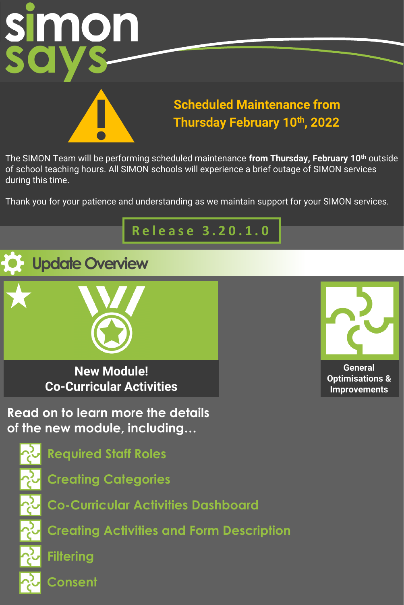

### **Scheduled Maintenance from Thursday February 10th, 2022**

The SIMON Team will be performing scheduled maintenance **from Thursday, February 10th** outside of school teaching hours. All SIMON schools will experience a brief outage of SIMON services during this time.

Thank you for your patience and understanding as we maintain support for your SIMON services.

### **R e l e a s e 3 . 2 0 . 1 . 0**





**New Module! Co-Curricular Activities**

**General Optimisations & Improvements**

**Read on to learn more the details of the new module, including…**

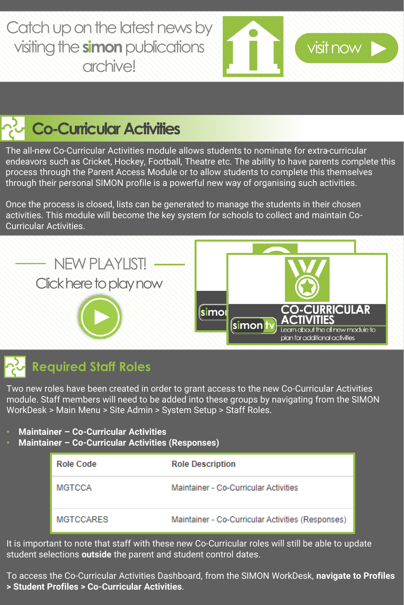[Catch up on the latest news by](https://bit.ly/32LZiAQ)  visiting the **simon** publications archive!



## **Co-Curricular Activities**

The all-new Co-Curricular Activities module allows students to nominate for extra-curricular endeavors such as Cricket, Hockey, Football, Theatre etc. The ability to have parents complete this process through the Parent Access Module or to allow students to complete this themselves through their personal SIMON profile is a powerful new way of organising such activities.

Once the process is closed, lists can be generated to manage the students in their chosen activities. This module will become the key system for schools to collect and maintain Co-Curricular Activities.



### **Required Staff Roles**

Two new roles have been created in order to grant access to the new Co-Curricular Activities module. Staff members will need to be added into these groups by navigating from the SIMON WorkDesk > Main Menu > Site Admin > System Setup > Staff Roles.

- **Maintainer – Co-Curricular Activities**
- **Maintainer – Co-Curricular Activities (Responses)**

| Role Code        | <b>Role Description</b>                           |
|------------------|---------------------------------------------------|
| <b>MGTCCA</b>    | Maintainer - Co-Curricular Activities             |
| <b>MGTCCARES</b> | Maintainer - Co-Curricular Activities (Responses) |

It is important to note that staff with these new Co-Curricular roles will still be able to update student selections **outside** the parent and student control dates.

To access the Co-Curricular Activities Dashboard, from the SIMON WorkDesk, **navigate to Profiles > Student Profiles > Co-Curricular Activities**.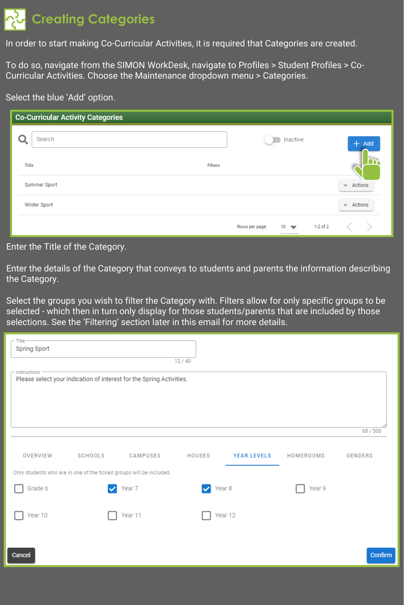## **Creating Categories**

In order to start making Co-Curricular Activities, it is required that Categories are created.

To do so, navigate from the SIMON WorkDesk, navigate to Profiles > Student Profiles > Co-Curricular Activities. Choose the Maintenance dropdown menu > Categories.

#### Select the blue 'Add' option.

| <b>Co-Curricular Activity Categories</b> |                |                             |                |
|------------------------------------------|----------------|-----------------------------|----------------|
| Search                                   |                | Inactive<br>$+$ Add         |                |
| Title                                    | <b>Filters</b> |                             |                |
| Summer Sport                             |                |                             | $\vee$ Actions |
| Winter Sport                             |                |                             | $\vee$ Actions |
|                                          | Rows per page: | $1-2$ of 2<br>$10 \sqrt{ }$ |                |

#### Enter the Title of the Category.

Enter the details of the Category that conveys to students and parents the information describing the Category.

Select the groups you wish to filter the Category with. Filters allow for only specific groups to be selected - which then in turn only display for those students/parents that are included by those selections. See the 'Filtering' section later in this email for more details.

| Title<br>Spring Sport                                               |         |                                                                      | 12/40       |                    |           |          |
|---------------------------------------------------------------------|---------|----------------------------------------------------------------------|-------------|--------------------|-----------|----------|
| Instructions                                                        |         | Please select your indication of interest for the Spring Activities. |             |                    |           |          |
|                                                                     |         |                                                                      |             |                    |           | 68 / 500 |
| OVERVIEW                                                            | SCHOOLS | CAMPUSES                                                             | HOUSES      | <b>YEAR LEVELS</b> | HOMEROOMS | GENDERS  |
| Only students who are in one of the ticked groups will be included. |         |                                                                      |             |                    |           |          |
| Grade 6                                                             |         | Year 7                                                               | Year 8<br>✓ |                    | Year 9    |          |
| Year 10                                                             |         | Year 11                                                              |             | Year 12            |           |          |
| Cancel                                                              |         |                                                                      |             |                    |           | Confirm  |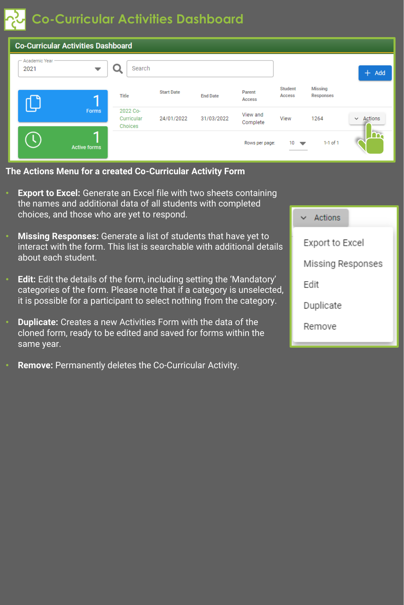**Co-Curricular Activities Dashboard**

|                         | <b>Co-Curricular Activities Dashboard</b> |                                   |                   |                 |                      |                                     |                             |                |
|-------------------------|-------------------------------------------|-----------------------------------|-------------------|-----------------|----------------------|-------------------------------------|-----------------------------|----------------|
| - Academic Year<br>2021 | ▼                                         | Search                            |                   |                 |                      |                                     |                             | $+$ Add        |
|                         |                                           | Title                             | <b>Start Date</b> | <b>End Date</b> | Parent<br>Access     | <b>Student</b><br>Access            | Missing<br><b>Responses</b> |                |
|                         | <b>Forms</b>                              | 2022 Co-<br>Curricular<br>Choices | 24/01/2022        | 31/03/2022      | View and<br>Complete | View                                | 1264                        | $\vee$ Actions |
| €                       | <b>Active forms</b>                       |                                   |                   |                 | Rows per page:       | $10-10$<br>$\overline{\phantom{a}}$ | $1-1$ of $1$                |                |

**The Actions Menu for a created Co-Curricular Activity Form**

- **Export to Excel:** Generate an Excel file with two sheets containing the names and additional data of all students with completed choices, and those who are yet to respond.
- **Missing Responses:** Generate a list of students that have yet to interact with the form. This list is searchable with additional details about each student.
- **Edit:** Edit the details of the form, including setting the 'Mandatory' categories of the form. Please note that if a category is unselected, it is possible for a participant to select nothing from the category.
- **Duplicate:** Creates a new Activities Form with the data of the cloned form, ready to be edited and saved for forms within the same year.
- **Remove:** Permanently deletes the Co-Curricular Activity.

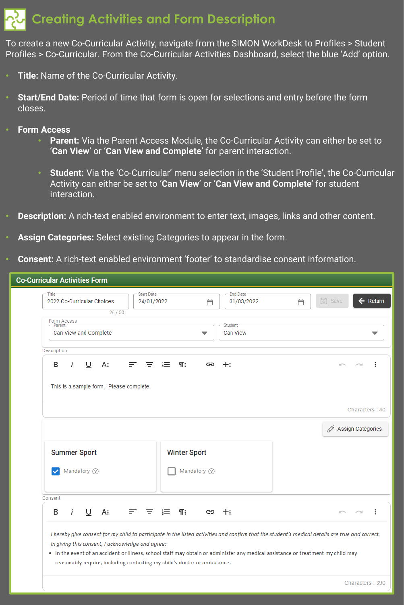### **Creating Activities and Form Description**

To create a new Co-Curricular Activity, navigate from the SIMON WorkDesk to Profiles > Student Profiles > Co-Curricular. From the Co-Curricular Activities Dashboard, select the blue 'Add' option.

- **Title:** Name of the Co-Curricular Activity.
- **Start/End Date:** Period of time that form is open for selections and entry before the form closes.
- **Form Access**
	- **Parent:** Via the Parent Access Module, the Co-Curricular Activity can either be set to '**Can View**' or '**Can View and Complete**' for parent interaction.
	- **Student:** Via the 'Co-Curricular' menu selection in the 'Student Profile', the Co-Curricular Activity can either be set to '**Can View**' or '**Can View and Complete**' for student interaction.
- **Description:** A rich-text enabled environment to enter text, images, links and other content.
- **Assign Categories:** Select existing Categories to appear in the form.
- **Consent:** A rich-text enabled environment 'footer' to standardise consent information.

| 2022 Co-Curricular Choices             | <b>Start Date</b><br>24/01/2022 | <b>End Date</b><br>31/03/2022<br>Ä | 同 Save<br>$\leftarrow$ Return<br>Ä                                                                                                              |
|----------------------------------------|---------------------------------|------------------------------------|-------------------------------------------------------------------------------------------------------------------------------------------------|
| 26/50<br><b>Form Access</b>            |                                 |                                    |                                                                                                                                                 |
| Parent<br>Can View and Complete        |                                 | Student<br><b>Can View</b><br>▼    |                                                                                                                                                 |
| Description                            |                                 |                                    |                                                                                                                                                 |
| i<br>U<br>В<br>A:<br>F.                | ¶:<br>這<br>Ξ                    | $+$<br>GD                          | <b>KOV</b><br>$\sim$                                                                                                                            |
|                                        |                                 |                                    | √ Assign Categories                                                                                                                             |
|                                        |                                 |                                    |                                                                                                                                                 |
| <b>Summer Sport</b>                    | <b>Winter Sport</b>             |                                    |                                                                                                                                                 |
| Mandatory ?<br>$\overline{\mathbf{v}}$ |                                 | Mandatory (?)                      |                                                                                                                                                 |
|                                        |                                 |                                    |                                                                                                                                                 |
| Consent                                |                                 |                                    |                                                                                                                                                 |
|                                        | 這<br>$\P$ :<br>三、<br>F.,        | $\Leftrightarrow$ $+$              | <b>ICV</b><br>$\sim$                                                                                                                            |
| İ<br>U<br>A:<br>B                      |                                 |                                    |                                                                                                                                                 |
|                                        |                                 |                                    | I hereby give consent for my child to participate in the listed activities and confirm that the student's medical details are true and correct. |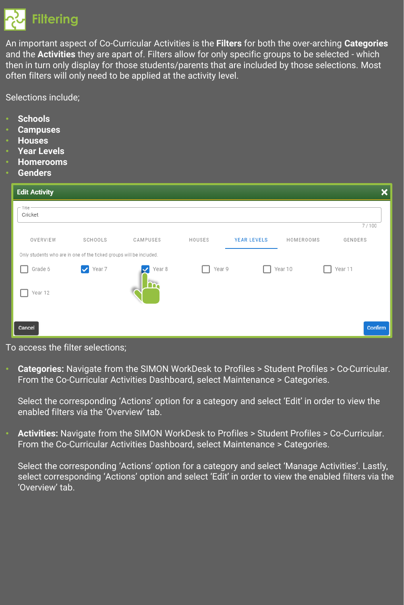

An important aspect of Co-Curricular Activities is the **Filters** for both the over-arching **Categories** and the **Activities** they are apart of. Filters allow for only specific groups to be selected - which then in turn only display for those students/parents that are included by those selections. Most often filters will only need to be applied at the activity level.

Selections include;

- **Schools**
- **Campuses**
- **Houses**
- **Year Levels**
- **Homerooms**
- **Genders**

| <b>Edit Activity</b>                                                |                        |          |        |                    |           | ×       |
|---------------------------------------------------------------------|------------------------|----------|--------|--------------------|-----------|---------|
| - Title<br>Cricket                                                  |                        |          |        |                    |           |         |
|                                                                     |                        |          |        |                    |           | 7/100   |
| OVERVIEW                                                            | SCHOOLS                | CAMPUSES | HOUSES | <b>YEAR LEVELS</b> | HOMEROOMS | GENDERS |
| Only students who are in one of the ticked groups will be included. |                        |          |        |                    |           |         |
| Grade 6                                                             | $\triangledown$ Year 7 | Year 8   | Year 9 |                    | Year 10   | Year 11 |
| Year 12                                                             |                        |          |        |                    |           |         |
| Cancel                                                              |                        |          |        |                    |           | Confirm |

#### To access the filter selections;

• **Categories:** Navigate from the SIMON WorkDesk to Profiles > Student Profiles > Co-Curricular. From the Co-Curricular Activities Dashboard, select Maintenance > Categories.

Select the corresponding 'Actions' option for a category and select 'Edit' in order to view the enabled filters via the 'Overview' tab.

• **Activities:** Navigate from the SIMON WorkDesk to Profiles > Student Profiles > Co-Curricular. From the Co-Curricular Activities Dashboard, select Maintenance > Categories.

Select the corresponding 'Actions' option for a category and select 'Manage Activities'. Lastly, select corresponding 'Actions' option and select 'Edit' in order to view the enabled filters via the 'Overview' tab.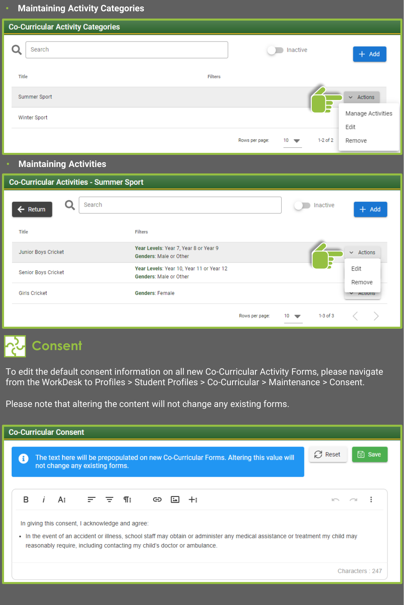#### • **Maintaining Activity Categories**

|       | <b>Co-Curricular Activity Categories</b> |                                |                                |
|-------|------------------------------------------|--------------------------------|--------------------------------|
|       | Search                                   | Inactive                       | $+$ Add                        |
| Title | <b>Filters</b>                           |                                |                                |
|       | Summer Sport                             |                                | $\sim$ Actions                 |
|       | Winter Sport                             |                                | Manage Activities              |
|       |                                          | $10 \approx$<br>Rows per page: | Edit<br>$1-2$ of $2$<br>Remove |

#### • **Maintaining Activities**

| <b>Co-Curricular Activities - Summer Sport</b> |                                                                    |                                  |                  |
|------------------------------------------------|--------------------------------------------------------------------|----------------------------------|------------------|
| Search<br>$\leftarrow$ Return                  |                                                                    | Inactive                         | $+$ Add          |
| Title                                          | <b>Filters</b>                                                     |                                  |                  |
| Junior Boys Cricket                            | Year Levels: Year 7, Year 8 or Year 9<br>Genders: Male or Other    |                                  | $\vee$ Actions   |
| Senior Boys Cricket                            | Year Levels: Year 10, Year 11 or Year 12<br>Genders: Male or Other |                                  | Edit<br>Remove   |
| <b>Girls Cricket</b>                           | <b>Genders: Female</b>                                             |                                  | $\times$ ACTIONS |
|                                                | Rows per page:                                                     | $1-3$ of $3$<br>$10 \rightarrow$ |                  |

# **Consent**

To edit the default consent information on all new Co-Curricular Activity Forms, please navigate from the WorkDesk to Profiles > Student Profiles > Co-Curricular > Maintenance > Consent.

Please note that altering the content will not change any existing forms.

| <b>Co-Curricular Consent</b>                                                                                                 |                                                                                                                                  |                            |
|------------------------------------------------------------------------------------------------------------------------------|----------------------------------------------------------------------------------------------------------------------------------|----------------------------|
| not change any existing forms.                                                                                               | The text here will be prepopulated on new Co-Curricular Forms. Altering this value will                                          | $C$ Reset<br><b>B</b> save |
| $i$ A: $\equiv$ $\equiv$ ¶: $\Leftrightarrow$<br>R.                                                                          | $+$                                                                                                                              | $\sim$ $\sim$              |
| In giving this consent, I acknowledge and agree:<br>reasonably require, including contacting my child's doctor or ambulance. | • In the event of an accident or illness, school staff may obtain or administer any medical assistance or treatment my child may |                            |